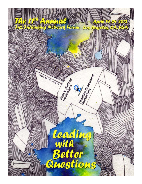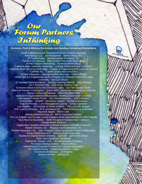# Our<br>Forum Partners **JnThinking**

**Co-Hosts: Pratt & Whitney Rocketdyne and Hamilton Sundstrand Rocketdyne**

InThinking Network

Ackoff Collaboratory for Advancement of the Systems Approach Aera Energy LLC AeroVironment Altemp Alloys, Inc. Art Technologies Berrett-Koehler Publishers, Inc. The Boeing Company Boys & Girls Club of the West Valley Buffalo Niagara Partnership Business World Rising California State University Northridge – College of Business and Economics California State University Northridge – College of Engineering and Computer Science CalRAM, Inc. Capital Quality and Innovation CC-M Productions – ManagementWisdom.com Click & Pledge Liberal Arts and Engineering Studies Program at California Polytechnic State University - San Luis Obispo W. Edwards Deming Institute Deming Learning Network Dilts Ventures Do It American Mfg. Duty Honor America Tour Economic Alliance of the San Fernando Valley EcoTech Design Studio Financial Partners Credit Union Green MBA - Dominican University of California Haines Centre International Hilton Woodland Hills Institute for Organizational Effectiveness - Bowling Green State University International Futures Forum Jazz Semiconductors JCM Industries KHTS Radio - 1220AM - Hometown Station Kid Flix Productions King Tut Printing Lean Management Journal Living Tapestries Los Angeles ~ The Institute of Noetic Science The Louisville Slugger R.W. Lyall & Company M.S. Aerospace Inc. Marcia Daszko & Associates Maverick Angels Menlo Labs Metalex Manufacturing, Inc. MICA Consulting Partners The Los Angeles and Orange County Chapters of the National Hispanic MBA Society Dave Nave & Associates North of England Transformation Network Omega Health Systems Organization Systems Renewal Graduate Program at Seattle University Peaker Services, Inc. Pegasus Communications, Inc. Phadke Associates, Inc. San Fernando Valley Aerospace-Aviation Collaborative Santa Clarita Web & IT Norman Seeff Productions Society for Organizational Learning Spincraft Spirit Alive Design State Farm Insurance Companies Theresa M. Stewart, CPA - An Accountancy Company The Swiss Deming Institute Triarchy Press UAW/Boeing Employee Involvement Training Organization UK Deming Forum United Way of Kern County Volunteers of America – Los Angeles Wisdom at Work Withaq.net

In2:InThinking Network Phone: (562) 204-6246 Email: registrar@in2in.org Online: [www.in2in.org](http://www.in2in.org/) PO Box 9384, CA, 9384, CA, 9384, CA, 9384, CA, 9384, CA, 9384, CA, 9394, CA, 9394, CA, 9394, CA, 9309, CA, 930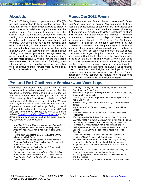|  | <b>About Us</b> |  |
|--|-----------------|--|
|--|-----------------|--|

The In2:InThinking Network operates as a 501(c)(3) non-profit organization to bring together people who share an interest in using *better thinking* to create a *better future* – for individuals, organizations, and the world at large. Our theoretical grounding joins the work of Russell Ackoff, Edward de Bono, W. Edwards Deming, Tom Johnson, Peter Senge, Genichi Taguchi, and other world renowned business practitioners and theorists. Our efforts seek to explore, combine, and extend their thinking for the increase of consciousness and understanding about *how thinking can bring forth a better world*. We believe that by "thinking about thinking" – or *InThinking* – we can manage resources, acquire knowledge, work together, lead organizations, and plan more effectively. With InThinking we create a new awareness of various forms of thinking, their interdependency, the possible ways of integrating them, and including them - toward more joy and quality of life in individuals and organizations.

## **About Us About Our 2012 Forum**

The 11th Annual In2:InThinking Network Forum | April 19-24-2012 Los Angeles, CA, U

Our Eleventh Annual Forum, themed *Leading with Better Questions,* continues to expand "thinking about thinking", raising the consciousness of better thinking in individuals and organizations. To that end, we have invited pioneering thinkers who are *"Leading with Better Questions"* to share their insights in a 6-day event that includes a weekend "Conference," preceded by 2 days of Pre-Conference sessions and followed by 2 days of Post-Conference sessions. In addition to pro-bono appearances by our conference presenters, we are partnering with additional members of our Network, who are also donating their time, to offer 22 Pre- and Post-conference seminars and workshops. These sessions range in length from 2-hours to 7-hours and are offered **without fee** to attend, with the exception of one. In doing so, the In2:InThinking Network Annual Forum aims to promote an environment in which compelling ideas and insights evolve from intense exposure to new thoughts, thinking patterns, and InThinking colleagues, all at minimal cost. These ideas and insights may lead you in untold exciting directions in your work and life after the Forum, particularly if you continue to nurture new relationships through other Network activities throughout the year.

# **Pre- and Post-Conference Seminars and Workshops**

Conference participants may attend any of the seminars and workshops offered before or after the weekend Conference portion of our 2012 Forum. All are free to attend, with the exception of one (*What We're Learning About the Brain…*, which has a \$40 fee for materials). They will be held at Pratt & Whitney Rocketdyne in Canoga Park. The 19 pre- and Post-Conference seminar and workshop offerings on April 19<sup>th</sup> and 20<sup>th</sup>, followed by sessions on April 23<sup>rd</sup> and 24<sup>th</sup>, are listed below. Please see our 2012 Forum website [\(www.in2in.org/forums/2012/index.html\)](http://www.in2in.org/forums/2012/index.html) for full descriptions of each, as well as find the overall day-byday schedule for these sessions.

- *Now What? How to Create Leverage, Insight and Action by Asking Great Questions and Embodying Great Answers, Together*, 3 hours with Alex Iglecia & Beth Iglecia
- *Moving from Spectator Safety to Participant Safety,*  3 hours with Rick Spencer
- *Thinking in Systems and Stories: A Whole-Hearted Approach to Devising Creative Solutions*, 3 hours with Steve Byers and Bob Dickman
- *Re-Thinking Leadership Development*, 3 hours with John Dupre and Armin Pajand
- *Playful Inquiry: Unleashing the Power of the Creative Brain,* 3 hours with Lyn Wiltse and Lori Steed Sortino
- *From Flexible Bodies to Flexible Minds,* 3 hours with Julie Francis
- *Learning to Change: Changing to Learn,* 3 hours with Jon Bergstrom and Steve Byers
- *Shifting Intransigence – Building Businesses, Re-Building Lives*, 3 hours with Ron Schultz
- *Cause(s) of Confusion: Beyond Root Cause Analysis*, 2 hours with Cade Wilson
- *Idealized Design: Beyond Problem Solving*, 2 hours with Neil Jansen
- *Applications of InThinking to Working Life*, 2 hours with Felix Delgado
- *Business Lessons From Social Insects*, 2 hours with Mark Fitzsimmons
- *The Organization Workshop*, 6 hours with Beth Thompson
- *Deming's Ideas in the 21st Century*, 6 hours with Gipsie Ranney
- *Discussing the Undiscussable: Overcoming the Defensive Routines in the Workplace*, 6 hours with Micah Fierstein
- *Self-organizing the "Inquirer" - Better Questions - Accurate Sensing – More Effective Response*, 6 hours with Peter Stonefield
- *Mindful Leadership: Strategies for Change Resilience & Wisdom at Work,* 7 hours with Joel & Michelle Levey
- *What We're Learning About the Brain and Why It Matters,* 7 hours with Leslie Peters (fee to attend: \$40 for materials)
- *Judgement, Explained and Practised,* 7 hours with Graham Rawlinson
- *The Power To Trust Intuition: It has been in us all along!,* 3.5 hours with Hugh McAllister and Jengiz Gocer
- *InThinking Together,* 7 hours Bill Bellows, Rudy Hernandez, and Tim Higgins
- *The Secret Life of Organizations,* 3.5 hours with Ariane David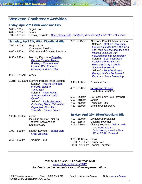# **Weekend Conference Activities**

#### **Friday, April 20th, Hilton Woodland Hills**

5:00 - 7:30pm Registration<br>6:00 - 7:30pm *Dinner* 6:00 - 7:30pm

7:30 - 8:30pm Opening Keynote – [Sherry Immediato,](http://in2in.org/forums/2012/Conference/SherryImmediato.html) *Catalyzing Breakthroughs with Great Questions*

| Saturday, April 21 <sup>st</sup> , Hilton Woodland Hills |                                                                                                                                                                                                                                                                   | 2:30 - 3:45pm                                                             | Afternoon Parallel-Track Session                                                                                                                                                                                 |
|----------------------------------------------------------|-------------------------------------------------------------------------------------------------------------------------------------------------------------------------------------------------------------------------------------------------------------------|---------------------------------------------------------------------------|------------------------------------------------------------------------------------------------------------------------------------------------------------------------------------------------------------------|
| 7:00 - 8:00am                                            | Registration<br><b>Continental Breakfast</b>                                                                                                                                                                                                                      |                                                                           | Salon A - Graham Rawlinson<br><b>Exercising Judgement; The Ying</b>                                                                                                                                              |
| $8:00 - 8:30am$                                          | <b>Welcome and Opening Remarks</b>                                                                                                                                                                                                                                |                                                                           | and Yang balance of reason and<br>intuition, explored with                                                                                                                                                       |
| $8:30 - 9:45am$                                          | Morning Keynote - Brigadier<br><b>General Timothy Trainor</b><br><b>Building a Generation of</b><br><b>Leaders Who Embrace</b><br><b>Creativity and Innovation</b>                                                                                                |                                                                           | neuroscience and psychology<br>Salon B - Beth Thompson<br><b>Considering the System:</b><br><b>Exploring Oshry's Whole</b><br><b>System Framework</b><br>Salon C - llene Val-Essen<br>Family Life Can Be So Much |
| $9:45 - 10:15am$                                         | <b>Break</b>                                                                                                                                                                                                                                                      |                                                                           | <b>Easier and More Rewarding</b>                                                                                                                                                                                 |
|                                                          | 10:15 - 11:30am Morning Parallel-Track Session<br>Salon A - Pauline Arneberg                                                                                                                                                                                      | $3:45 - 4:00$ pm                                                          | <b>Transition Time</b>                                                                                                                                                                                           |
|                                                          | <b>PRAXIS: What to</b><br><b>Take Away</b><br>Salon B - Fazel Hayati<br><b>A Framework for Asking</b><br><b>Questions</b><br>Salon C - Lucie Newcomb<br><b>Cultivating Global Citizenship</b><br><b>Capacities: First Steps</b><br><b>Towards a Shared Future</b> | $4:00 - 5:00$ pm                                                          | <b>Networking Session</b><br>with Kris Bergstrom                                                                                                                                                                 |
|                                                          |                                                                                                                                                                                                                                                                   | $5:00 - 6:00$ pm<br>$6:00 - 7:15$ pm<br>$7:15 - 7:30$ pm<br>7:30 - 8:30pm | No Host Happy Hour (pay bar)<br><b>Dinner</b><br><b>Transition Time</b><br><b>Evening Collaborative</b>                                                                                                          |
| 11:30 - 1:00pm                                           | Lunch                                                                                                                                                                                                                                                             | Sunday, April 22 <sup>nd</sup> , Hilton Woodland Hills                    |                                                                                                                                                                                                                  |
|                                                          | Including time for Thinking<br><b>Together Sessions and</b><br>Speaker Q&A                                                                                                                                                                                        | 7:00 - 8:00am<br>$8:00 - 8:15am$<br>8:15 - 9:30am                         | <b>Continental Breakfast</b><br><b>Opening Together</b><br>Closing Keynote - Debra Lewis<br>and Doug Adams                                                                                                       |
| $1:00 - 2:15$ pm                                         | Midday Keynote - Barnet Bain<br><b>Ultra-Creativity</b>                                                                                                                                                                                                           |                                                                           | Duty, Honor, America Tour:<br><b>What REALLY Helps?</b>                                                                                                                                                          |
| $2:15 - 2:30$ pm                                         | <b>Transition Time</b>                                                                                                                                                                                                                                            | $9:30 - 10:00$ am<br>10:00 - 11:30am Forum Cafe                           | <b>Break</b><br>11:30 - 12:00pm Leading Together                                                                                                                                                                 |

*Please see our 2012 Forum website at*

[www.in2in.org/forums/2012](http://www.in2in.org/forums/2012)

*[for details on the content of each of these presentations.](http://www.in2in.org/)*

 $\mathbf{R}$